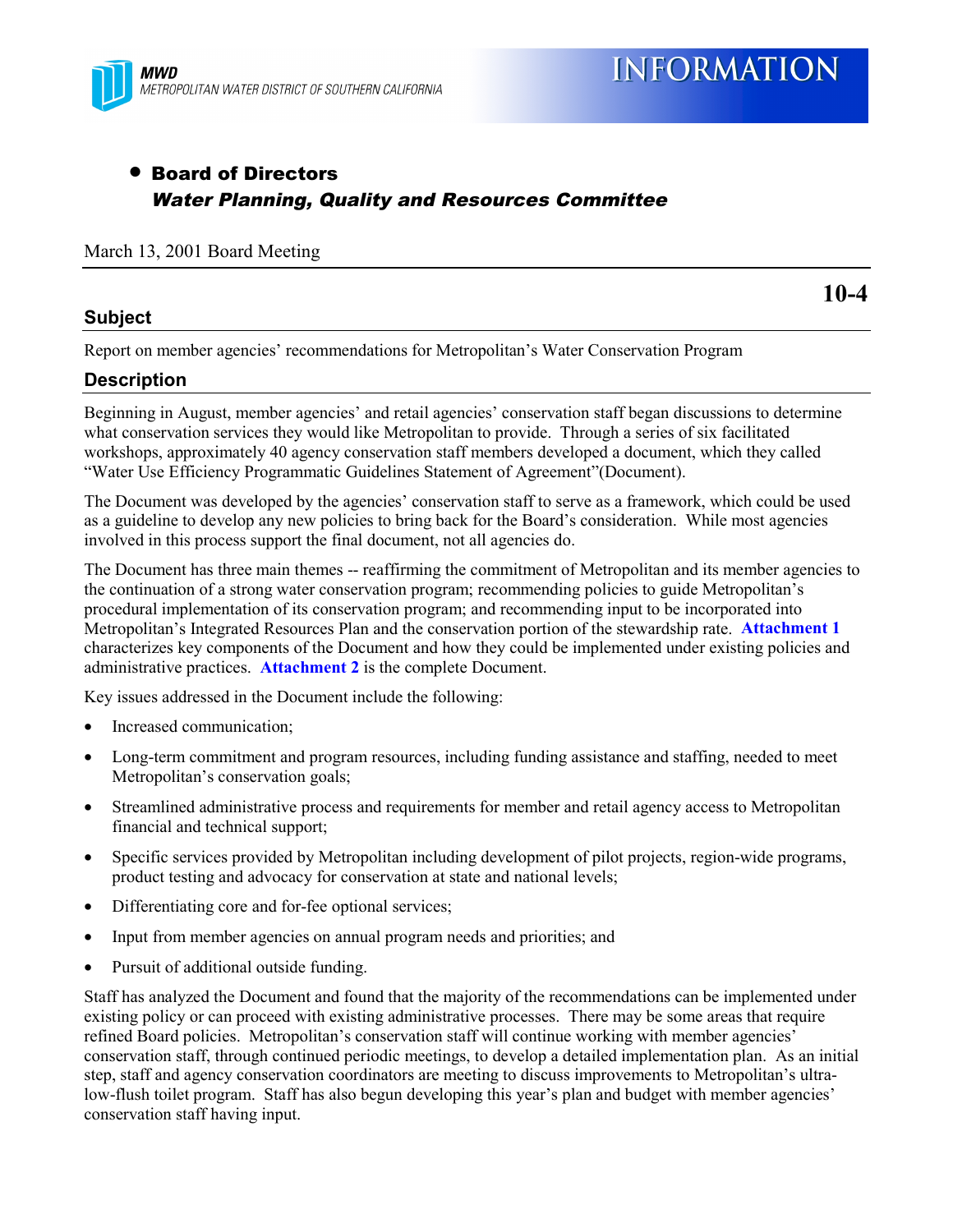

# • Board of Directors Water Planning, Quality and Resources Committee

#### March 13, 2001 Board Meeting

#### **Subject**

**10-4**

Report on member agencies' recommendations for Metropolitan's Water Conservation Program

#### **Description**

Beginning in August, member agencies' and retail agencies' conservation staff began discussions to determine what conservation services they would like Metropolitan to provide. Through a series of six facilitated workshops, approximately 40 agency conservation staff members developed a document, which they called "Water Use Efficiency Programmatic Guidelines Statement of Agreement"(Document).

The Document was developed by the agencies' conservation staff to serve as a framework, which could be used as a guideline to develop any new policies to bring back for the Board's consideration. While most agencies involved in this process support the final document, not all agencies do.

The Document has three main themes -- reaffirming the commitment of Metropolitan and its member agencies to the continuation of a strong water conservation program; recommending policies to guide Metropolitan's procedural implementation of its conservation program; and recommending input to be incorporated into Metropolitan's Integrated Resources Plan and the conservation portion of the stewardship rate. **Attachment 1** characterizes key components of the Document and how they could be implemented under existing policies and administrative practices. **Attachment 2** is the complete Document.

Key issues addressed in the Document include the following:

- Increased communication:
- Long-term commitment and program resources, including funding assistance and staffing, needed to meet Metropolitan's conservation goals;
- Streamlined administrative process and requirements for member and retail agency access to Metropolitan financial and technical support;
- Specific services provided by Metropolitan including development of pilot projects, region-wide programs, product testing and advocacy for conservation at state and national levels;
- Differentiating core and for-fee optional services;
- Input from member agencies on annual program needs and priorities; and
- Pursuit of additional outside funding.

Staff has analyzed the Document and found that the majority of the recommendations can be implemented under existing policy or can proceed with existing administrative processes. There may be some areas that require refined Board policies. Metropolitan's conservation staff will continue working with member agencies' conservation staff, through continued periodic meetings, to develop a detailed implementation plan. As an initial step, staff and agency conservation coordinators are meeting to discuss improvements to Metropolitan's ultralow-flush toilet program. Staff has also begun developing this year's plan and budget with member agencies' conservation staff having input.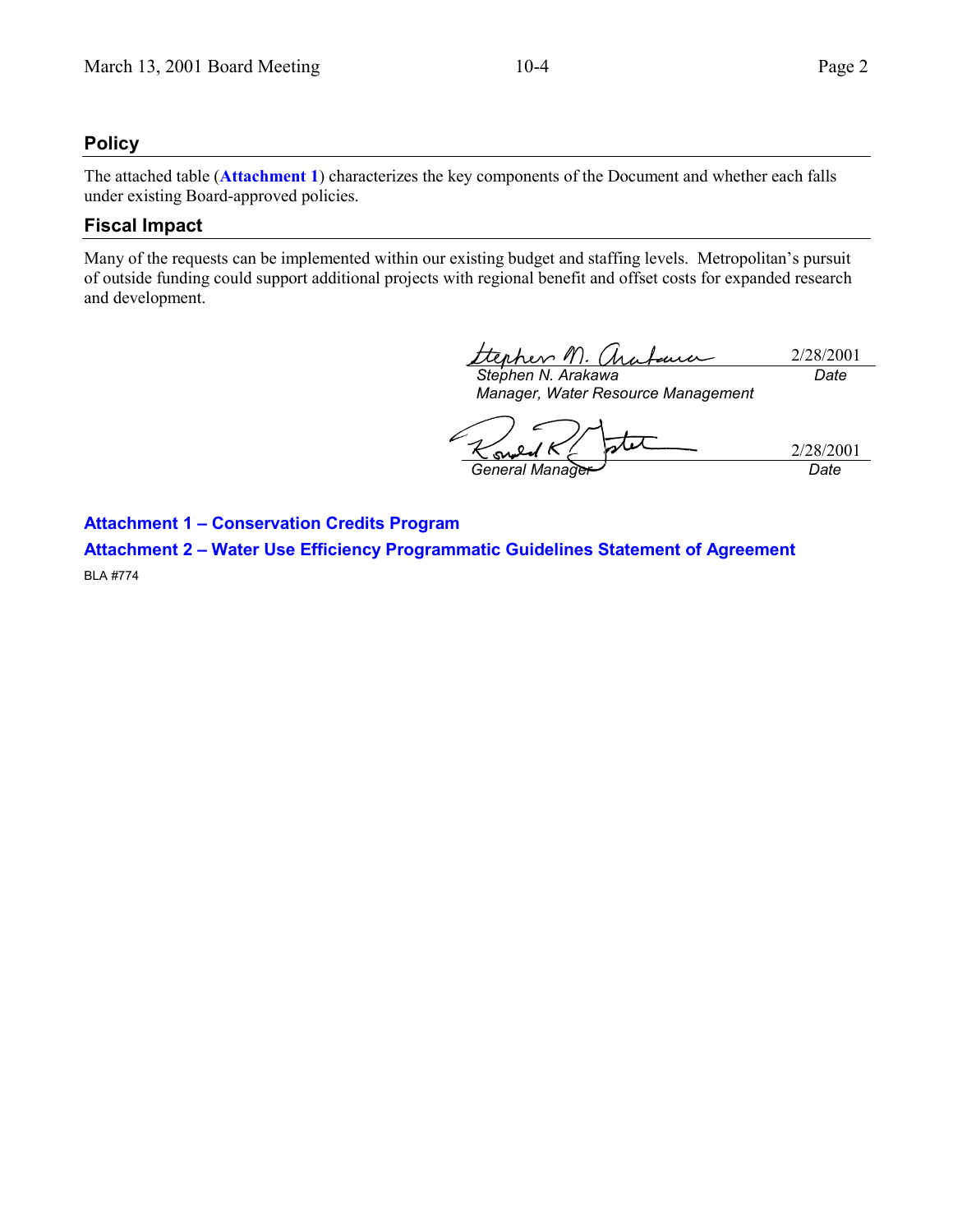# **Policy**

The attached table (**Attachment 1**) characterizes the key components of the Document and whether each falls under existing Board-approved policies.

#### **Fiscal Impact**

Many of the requests can be implemented within our existing budget and staffing levels. Metropolitan's pursuit of outside funding could support additional projects with regional benefit and offset costs for expanded research and development.

ttenhev M. 2/28/2001 *Stephen N. Arakawa Date*

*Manager, Water Resource Management*

2/28/2001 *General Manager Date*

**Attachment 1 – Conservation Credits Program**

**Attachment 2 – Water Use Efficiency Programmatic Guidelines Statement of Agreement** BLA #774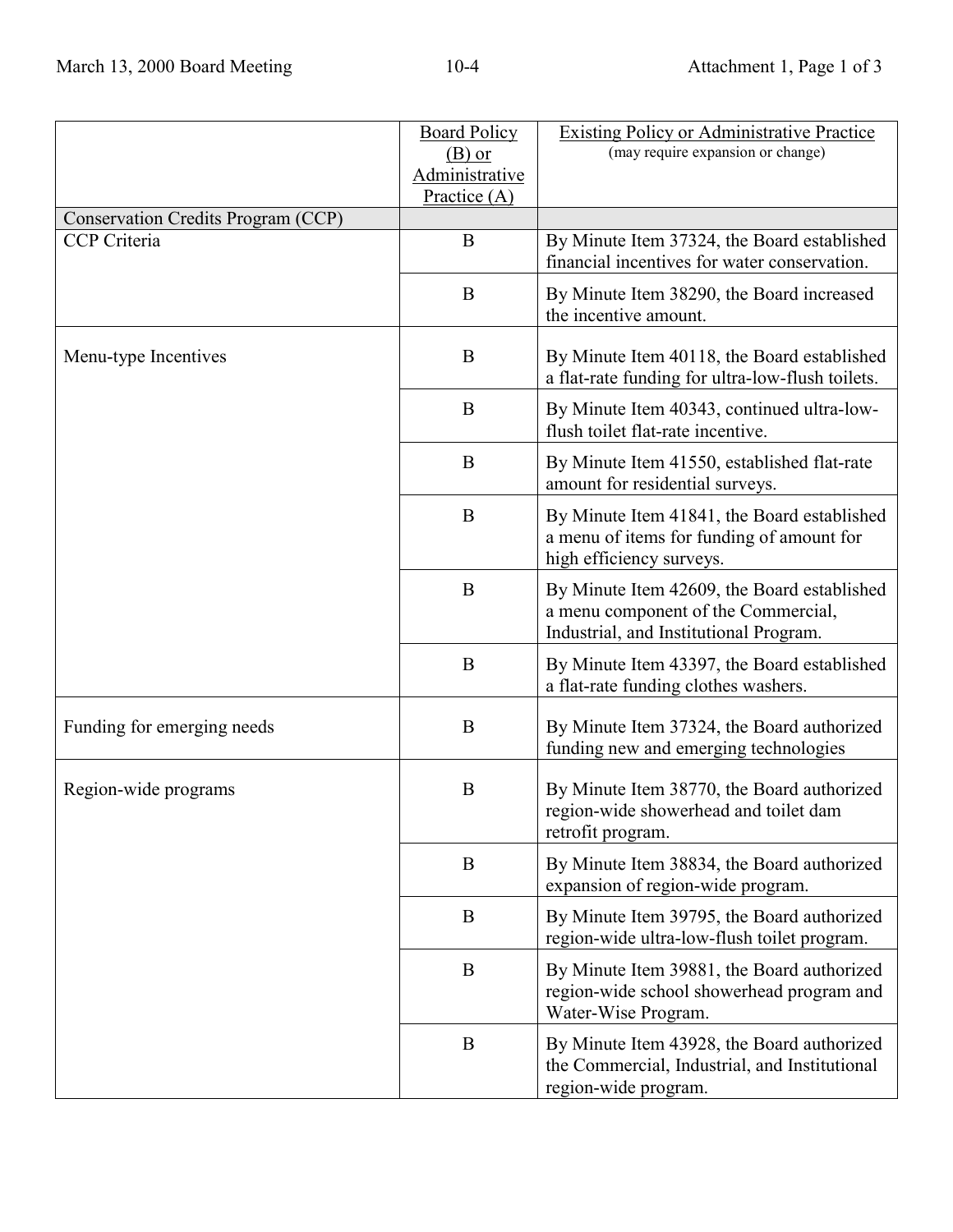|                                    | <b>Board Policy</b><br>$(B)$ or<br><b>Administrative</b><br>Practice $(A)$ | <b>Existing Policy or Administrative Practice</b><br>(may require expansion or change)                                       |
|------------------------------------|----------------------------------------------------------------------------|------------------------------------------------------------------------------------------------------------------------------|
| Conservation Credits Program (CCP) |                                                                            |                                                                                                                              |
| CCP Criteria                       | B                                                                          | By Minute Item 37324, the Board established<br>financial incentives for water conservation.                                  |
|                                    | B                                                                          | By Minute Item 38290, the Board increased<br>the incentive amount.                                                           |
| Menu-type Incentives               | B                                                                          | By Minute Item 40118, the Board established<br>a flat-rate funding for ultra-low-flush toilets.                              |
|                                    | B                                                                          | By Minute Item 40343, continued ultra-low-<br>flush toilet flat-rate incentive.                                              |
|                                    | B                                                                          | By Minute Item 41550, established flat-rate<br>amount for residential surveys.                                               |
|                                    | B                                                                          | By Minute Item 41841, the Board established<br>a menu of items for funding of amount for<br>high efficiency surveys.         |
|                                    | B                                                                          | By Minute Item 42609, the Board established<br>a menu component of the Commercial,<br>Industrial, and Institutional Program. |
|                                    | B                                                                          | By Minute Item 43397, the Board established<br>a flat-rate funding clothes washers.                                          |
| Funding for emerging needs         | B                                                                          | By Minute Item 37324, the Board authorized<br>funding new and emerging technologies                                          |
| Region-wide programs               | B                                                                          | By Minute Item 38770, the Board authorized<br>region-wide showerhead and toilet dam<br>retrofit program.                     |
|                                    | B                                                                          | By Minute Item 38834, the Board authorized<br>expansion of region-wide program.                                              |
|                                    | B                                                                          | By Minute Item 39795, the Board authorized<br>region-wide ultra-low-flush toilet program.                                    |
|                                    | B                                                                          | By Minute Item 39881, the Board authorized<br>region-wide school showerhead program and<br>Water-Wise Program.               |
|                                    | B                                                                          | By Minute Item 43928, the Board authorized<br>the Commercial, Industrial, and Institutional<br>region-wide program.          |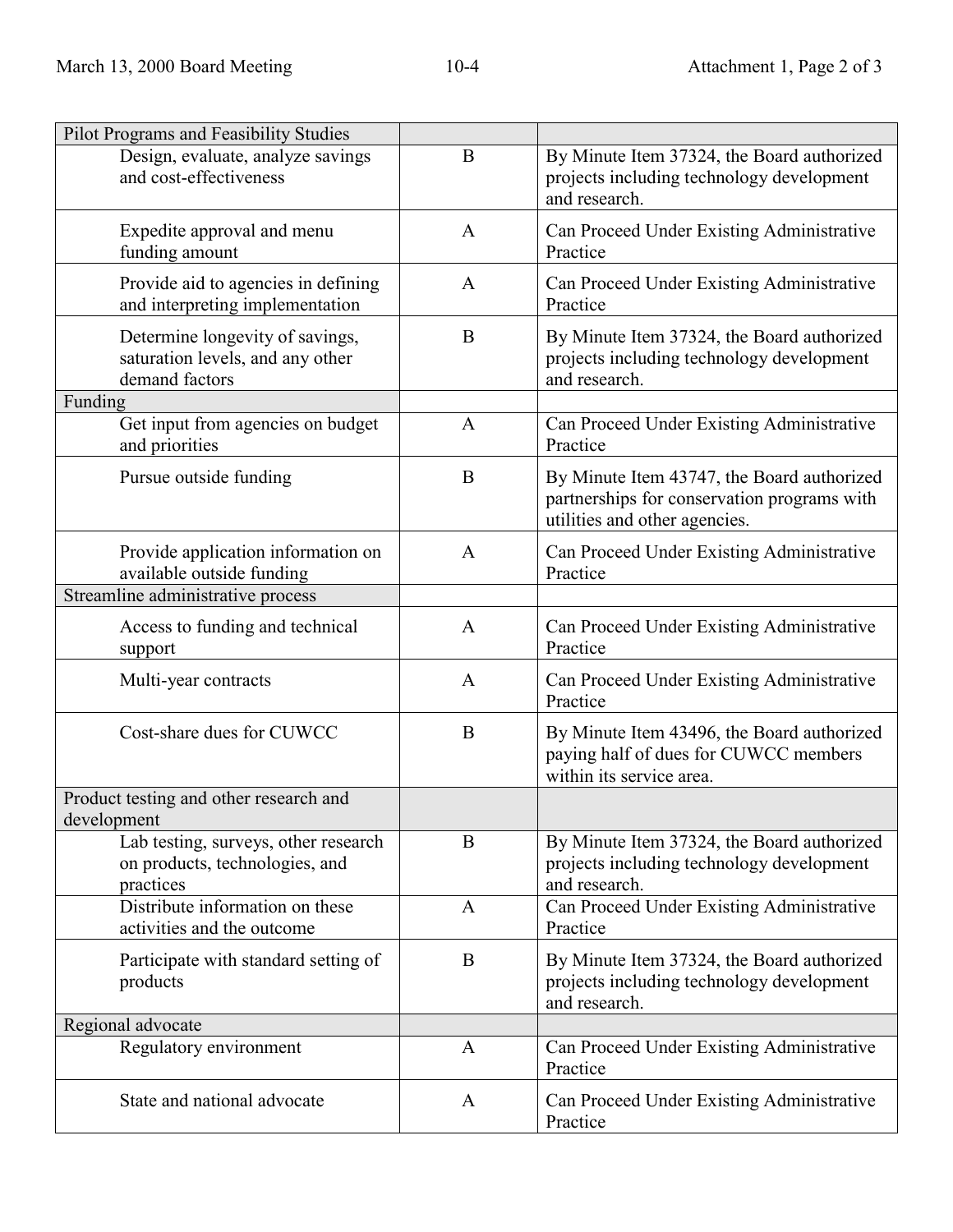| Pilot Programs and Feasibility Studies                                                |              |                                                                                                                            |
|---------------------------------------------------------------------------------------|--------------|----------------------------------------------------------------------------------------------------------------------------|
| Design, evaluate, analyze savings<br>and cost-effectiveness                           | B            | By Minute Item 37324, the Board authorized<br>projects including technology development<br>and research.                   |
| Expedite approval and menu<br>funding amount                                          | $\mathbf{A}$ | Can Proceed Under Existing Administrative<br>Practice                                                                      |
| Provide aid to agencies in defining<br>and interpreting implementation                | $\mathbf{A}$ | Can Proceed Under Existing Administrative<br>Practice                                                                      |
| Determine longevity of savings,<br>saturation levels, and any other<br>demand factors | B            | By Minute Item 37324, the Board authorized<br>projects including technology development<br>and research.                   |
| Funding                                                                               |              |                                                                                                                            |
| Get input from agencies on budget<br>and priorities                                   | $\mathbf{A}$ | Can Proceed Under Existing Administrative<br>Practice                                                                      |
| Pursue outside funding                                                                | B            | By Minute Item 43747, the Board authorized<br>partnerships for conservation programs with<br>utilities and other agencies. |
| Provide application information on<br>available outside funding                       | $\mathbf{A}$ | Can Proceed Under Existing Administrative<br>Practice                                                                      |
| Streamline administrative process                                                     |              |                                                                                                                            |
| Access to funding and technical<br>support                                            | $\mathbf{A}$ | Can Proceed Under Existing Administrative<br>Practice                                                                      |
| Multi-year contracts                                                                  | $\mathbf{A}$ | Can Proceed Under Existing Administrative<br>Practice                                                                      |
| Cost-share dues for CUWCC                                                             | B            | By Minute Item 43496, the Board authorized<br>paying half of dues for CUWCC members<br>within its service area.            |
| Product testing and other research and<br>development                                 |              |                                                                                                                            |
| Lab testing, surveys, other research<br>on products, technologies, and<br>practices   | B            | By Minute Item 37324, the Board authorized<br>projects including technology development<br>and research.                   |
| Distribute information on these<br>activities and the outcome                         | A            | Can Proceed Under Existing Administrative<br>Practice                                                                      |
| Participate with standard setting of<br>products                                      | B            | By Minute Item 37324, the Board authorized<br>projects including technology development<br>and research.                   |
| Regional advocate                                                                     |              |                                                                                                                            |
| Regulatory environment                                                                | $\mathbf{A}$ | Can Proceed Under Existing Administrative<br>Practice                                                                      |
| State and national advocate                                                           | $\mathbf{A}$ | Can Proceed Under Existing Administrative<br>Practice                                                                      |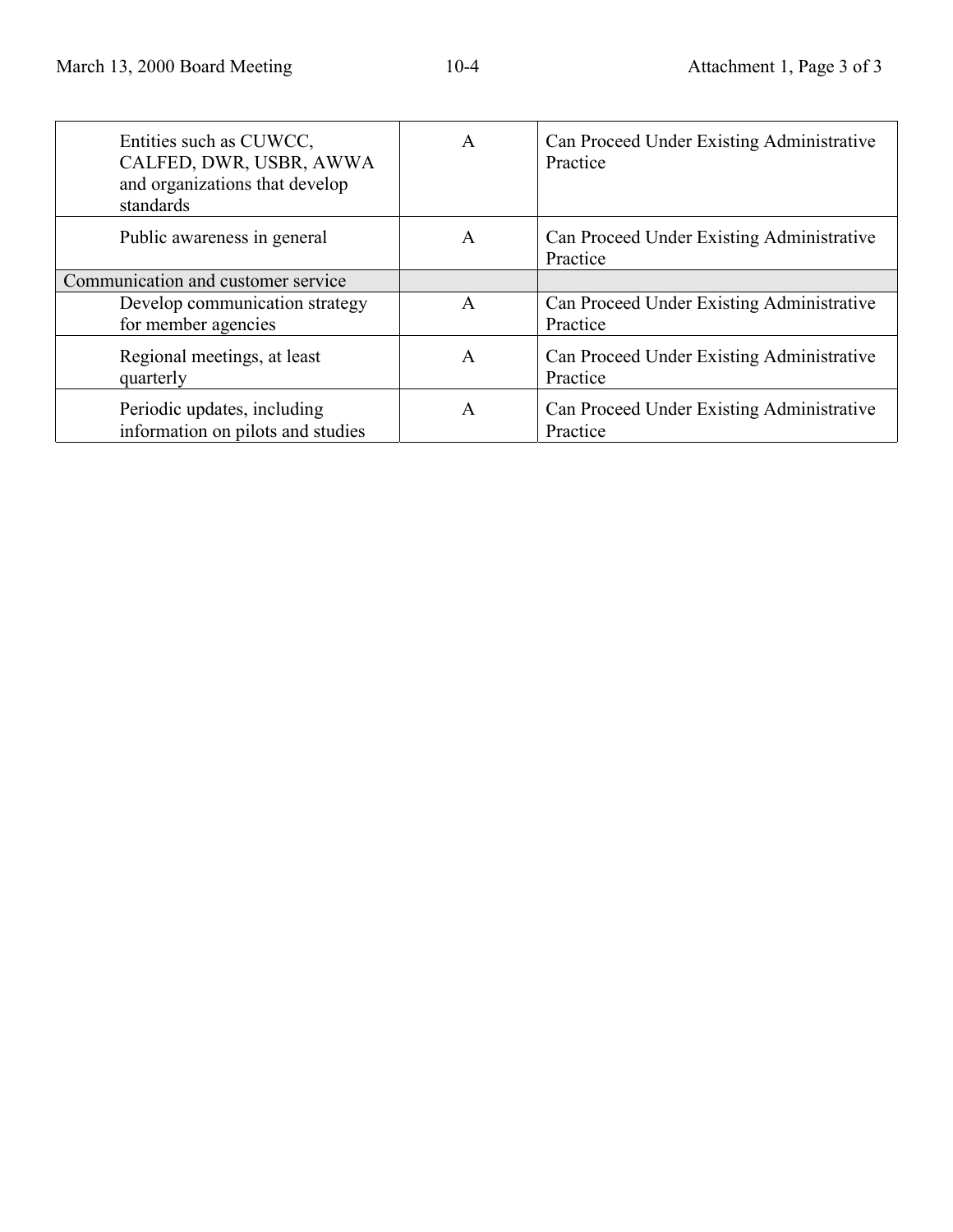| Entities such as CUWCC,<br>CALFED, DWR, USBR, AWWA<br>and organizations that develop<br>standards | A | Can Proceed Under Existing Administrative<br>Practice |
|---------------------------------------------------------------------------------------------------|---|-------------------------------------------------------|
| Public awareness in general                                                                       | A | Can Proceed Under Existing Administrative<br>Practice |
| Communication and customer service                                                                |   |                                                       |
| Develop communication strategy<br>for member agencies                                             | A | Can Proceed Under Existing Administrative<br>Practice |
| Regional meetings, at least<br>quarterly                                                          | A | Can Proceed Under Existing Administrative<br>Practice |
| Periodic updates, including<br>information on pilots and studies                                  | A | Can Proceed Under Existing Administrative<br>Practice |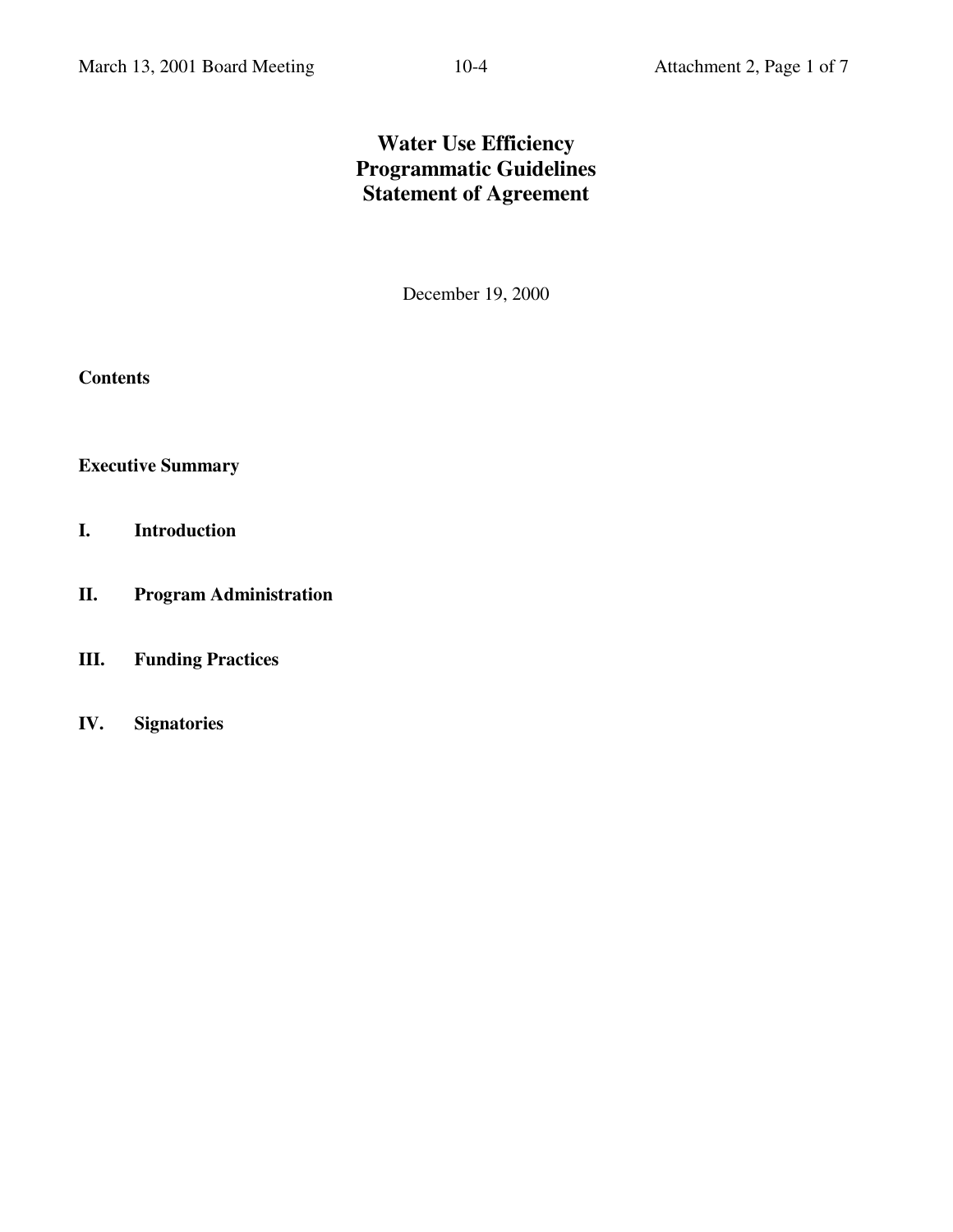# **Water Use Efficiency Programmatic Guidelines Statement of Agreement**

December 19, 2000

**Contents**

**Executive Summary**

- **I. Introduction**
- **II. Program Administration**
- **III. Funding Practices**
- **IV. Signatories**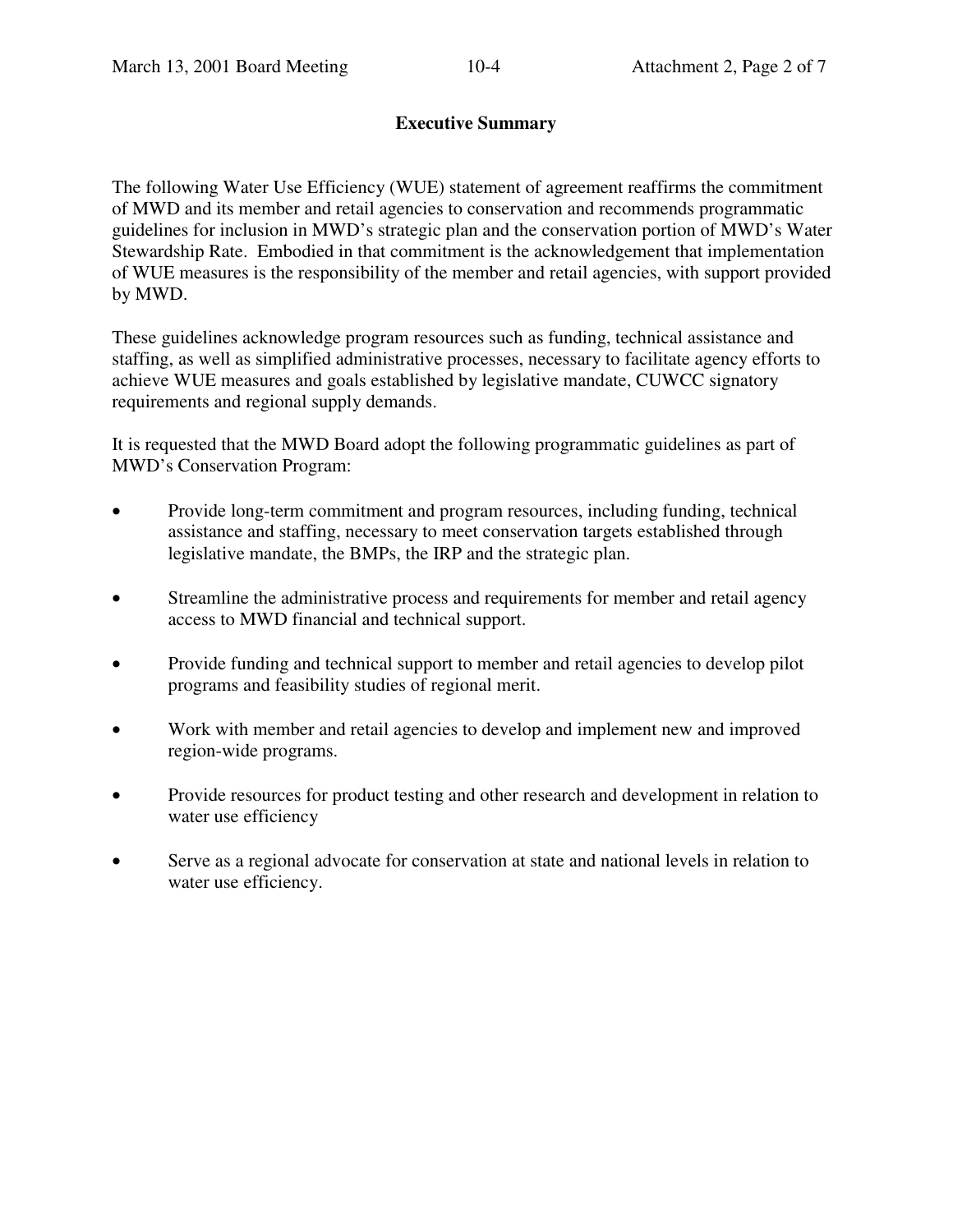### **Executive Summary**

The following Water Use Efficiency (WUE) statement of agreement reaffirms the commitment of MWD and its member and retail agencies to conservation and recommends programmatic guidelines for inclusion in MWD's strategic plan and the conservation portion of MWD's Water Stewardship Rate. Embodied in that commitment is the acknowledgement that implementation of WUE measures is the responsibility of the member and retail agencies, with support provided by MWD.

These guidelines acknowledge program resources such as funding, technical assistance and staffing, as well as simplified administrative processes, necessary to facilitate agency efforts to achieve WUE measures and goals established by legislative mandate, CUWCC signatory requirements and regional supply demands.

It is requested that the MWD Board adopt the following programmatic guidelines as part of MWD's Conservation Program:

- Provide long-term commitment and program resources, including funding, technical assistance and staffing, necessary to meet conservation targets established through legislative mandate, the BMPs, the IRP and the strategic plan.
- Streamline the administrative process and requirements for member and retail agency access to MWD financial and technical support.
- Provide funding and technical support to member and retail agencies to develop pilot programs and feasibility studies of regional merit.
- Work with member and retail agencies to develop and implement new and improved region-wide programs.
- Provide resources for product testing and other research and development in relation to water use efficiency
- Serve as a regional advocate for conservation at state and national levels in relation to water use efficiency.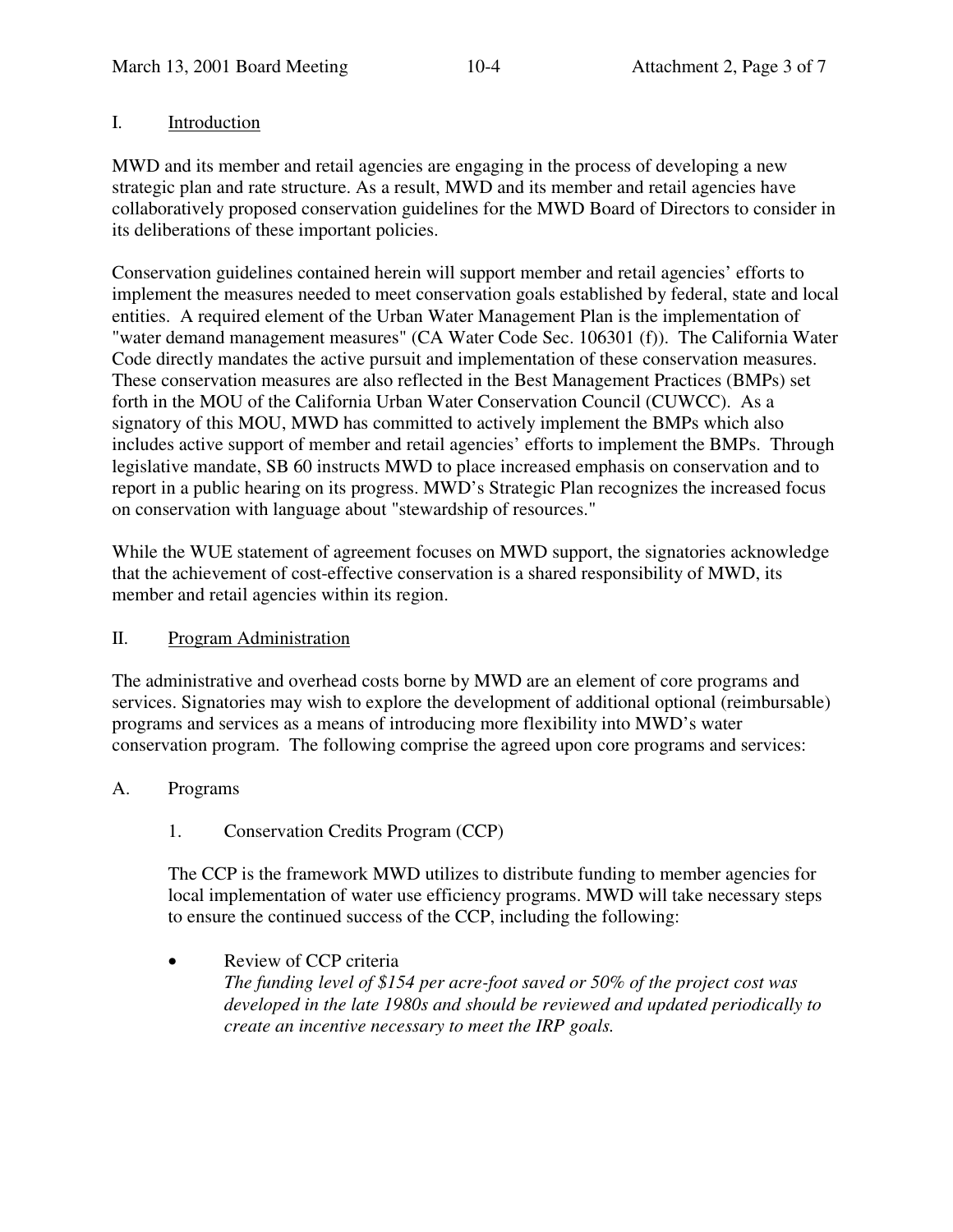# I. Introduction

MWD and its member and retail agencies are engaging in the process of developing a new strategic plan and rate structure. As a result, MWD and its member and retail agencies have collaboratively proposed conservation guidelines for the MWD Board of Directors to consider in its deliberations of these important policies.

Conservation guidelines contained herein will support member and retail agencies' efforts to implement the measures needed to meet conservation goals established by federal, state and local entities. A required element of the Urban Water Management Plan is the implementation of "water demand management measures" (CA Water Code Sec. 106301 (f)). The California Water Code directly mandates the active pursuit and implementation of these conservation measures. These conservation measures are also reflected in the Best Management Practices (BMPs) set forth in the MOU of the California Urban Water Conservation Council (CUWCC). As a signatory of this MOU, MWD has committed to actively implement the BMPs which also includes active support of member and retail agencies' efforts to implement the BMPs. Through legislative mandate, SB 60 instructs MWD to place increased emphasis on conservation and to report in a public hearing on its progress. MWD's Strategic Plan recognizes the increased focus on conservation with language about "stewardship of resources."

While the WUE statement of agreement focuses on MWD support, the signatories acknowledge that the achievement of cost-effective conservation is a shared responsibility of MWD, its member and retail agencies within its region.

# II. Program Administration

The administrative and overhead costs borne by MWD are an element of core programs and services. Signatories may wish to explore the development of additional optional (reimbursable) programs and services as a means of introducing more flexibility into MWD's water conservation program. The following comprise the agreed upon core programs and services:

- A. Programs
	- 1. Conservation Credits Program (CCP)

The CCP is the framework MWD utilizes to distribute funding to member agencies for local implementation of water use efficiency programs. MWD will take necessary steps to ensure the continued success of the CCP, including the following:

• Review of CCP criteria *The funding level of \$154 per acre-foot saved or 50% of the project cost was developed in the late 1980s and should be reviewed and updated periodically to create an incentive necessary to meet the IRP goals.*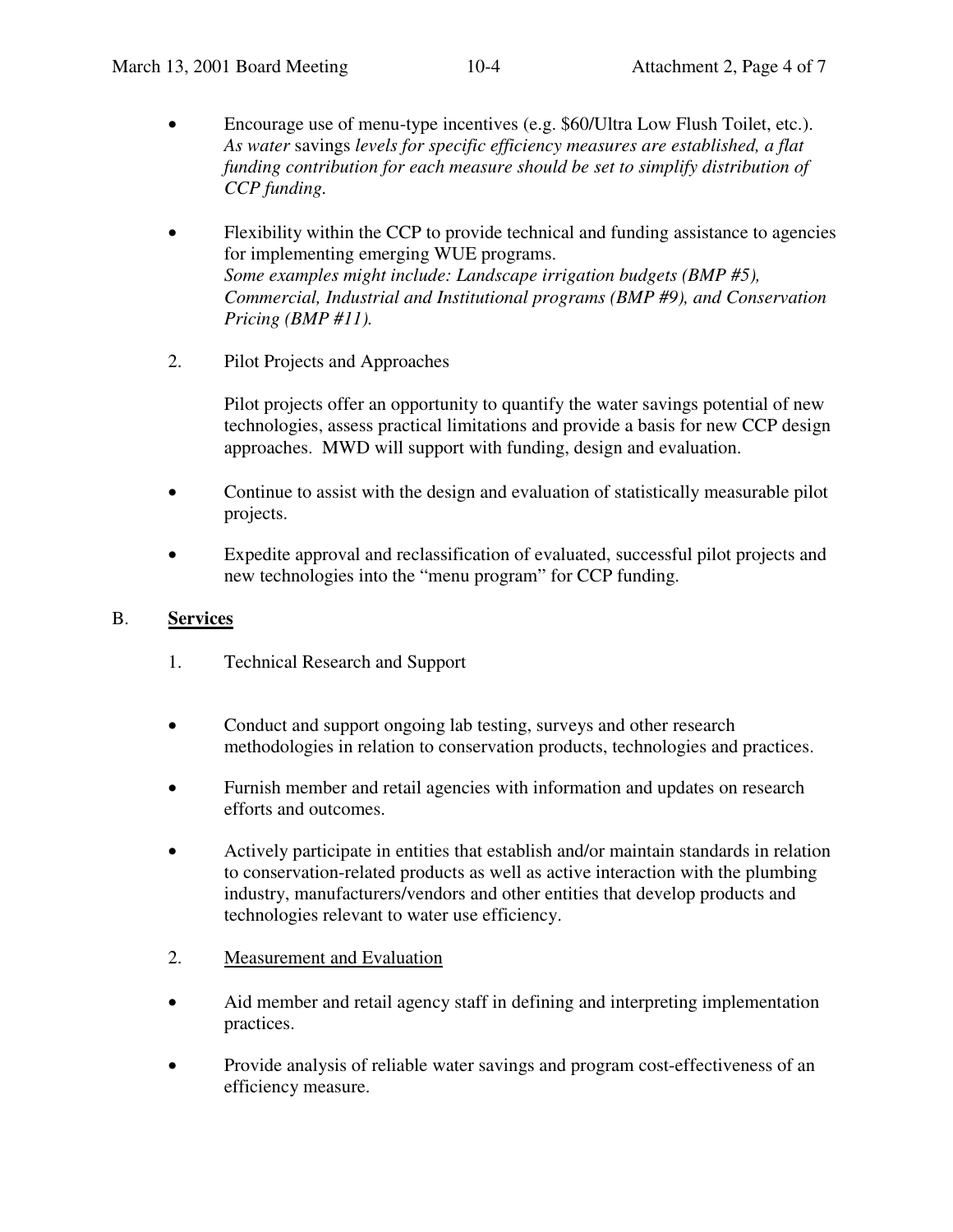- Encourage use of menu-type incentives (e.g. \$60/Ultra Low Flush Toilet, etc.). *As water* savings *levels for specific efficiency measures are established, a flat funding contribution for each measure should be set to simplify distribution of CCP funding.*
- Flexibility within the CCP to provide technical and funding assistance to agencies for implementing emerging WUE programs. *Some examples might include: Landscape irrigation budgets (BMP #5), Commercial, Industrial and Institutional programs (BMP #9), and Conservation Pricing (BMP #11).*
- 2. Pilot Projects and Approaches

Pilot projects offer an opportunity to quantify the water savings potential of new technologies, assess practical limitations and provide a basis for new CCP design approaches. MWD will support with funding, design and evaluation.

- Continue to assist with the design and evaluation of statistically measurable pilot projects.
- Expedite approval and reclassification of evaluated, successful pilot projects and new technologies into the "menu program" for CCP funding.

#### B. **Services**

- 1. Technical Research and Support
- Conduct and support ongoing lab testing, surveys and other research methodologies in relation to conservation products, technologies and practices.
- Furnish member and retail agencies with information and updates on research efforts and outcomes.
- Actively participate in entities that establish and/or maintain standards in relation to conservation-related products as well as active interaction with the plumbing industry, manufacturers/vendors and other entities that develop products and technologies relevant to water use efficiency.
- 2. Measurement and Evaluation
- Aid member and retail agency staff in defining and interpreting implementation practices.
- Provide analysis of reliable water savings and program cost-effectiveness of an efficiency measure.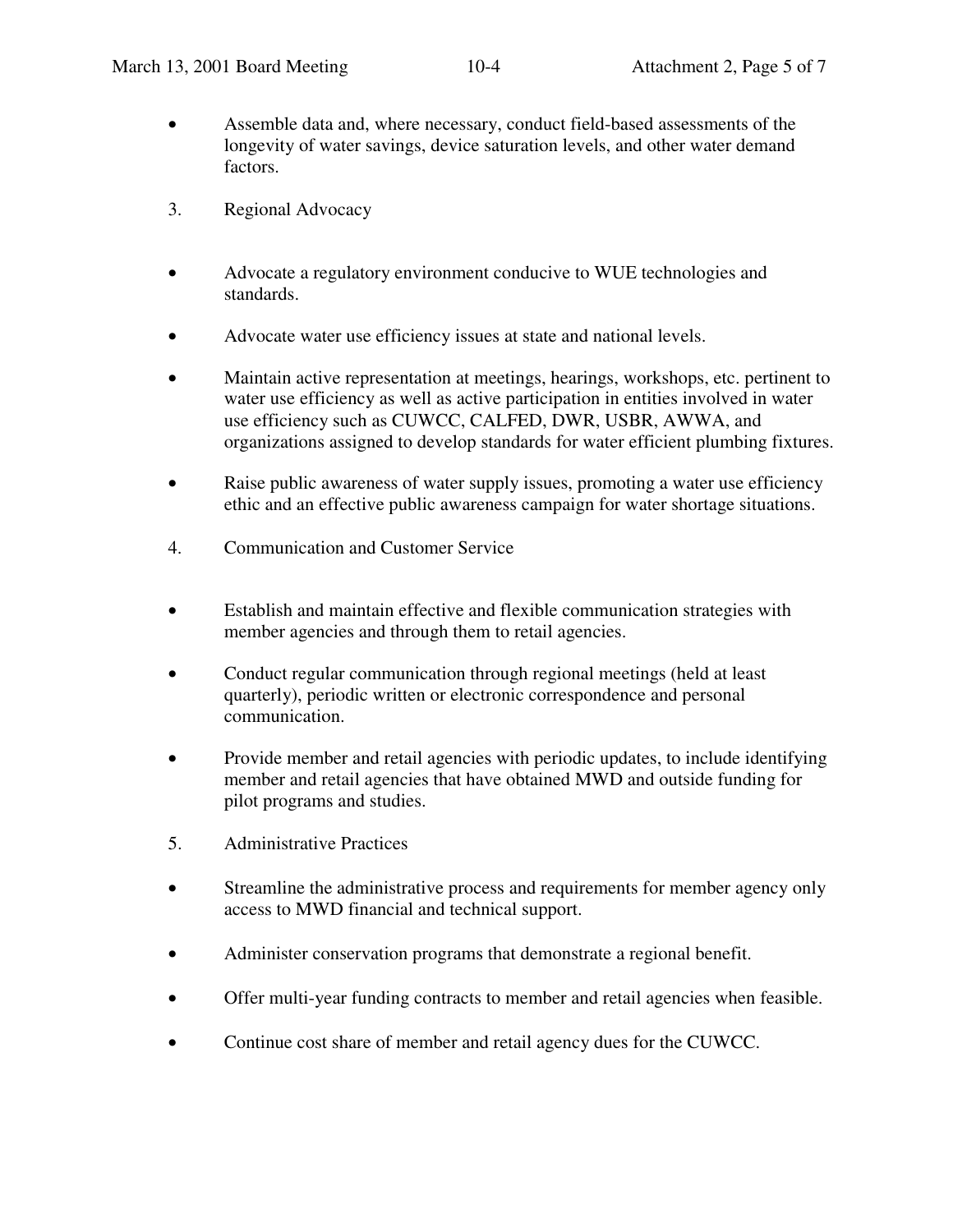- Assemble data and, where necessary, conduct field-based assessments of the longevity of water savings, device saturation levels, and other water demand factors.
- 3. Regional Advocacy
- Advocate a regulatory environment conducive to WUE technologies and standards.
- Advocate water use efficiency issues at state and national levels.
- Maintain active representation at meetings, hearings, workshops, etc. pertinent to water use efficiency as well as active participation in entities involved in water use efficiency such as CUWCC, CALFED, DWR, USBR, AWWA, and organizations assigned to develop standards for water efficient plumbing fixtures.
- Raise public awareness of water supply issues, promoting a water use efficiency ethic and an effective public awareness campaign for water shortage situations.
- 4. Communication and Customer Service
- Establish and maintain effective and flexible communication strategies with member agencies and through them to retail agencies.
- Conduct regular communication through regional meetings (held at least quarterly), periodic written or electronic correspondence and personal communication.
- Provide member and retail agencies with periodic updates, to include identifying member and retail agencies that have obtained MWD and outside funding for pilot programs and studies.
- 5. Administrative Practices
- Streamline the administrative process and requirements for member agency only access to MWD financial and technical support.
- Administer conservation programs that demonstrate a regional benefit.
- Offer multi-year funding contracts to member and retail agencies when feasible.
- Continue cost share of member and retail agency dues for the CUWCC.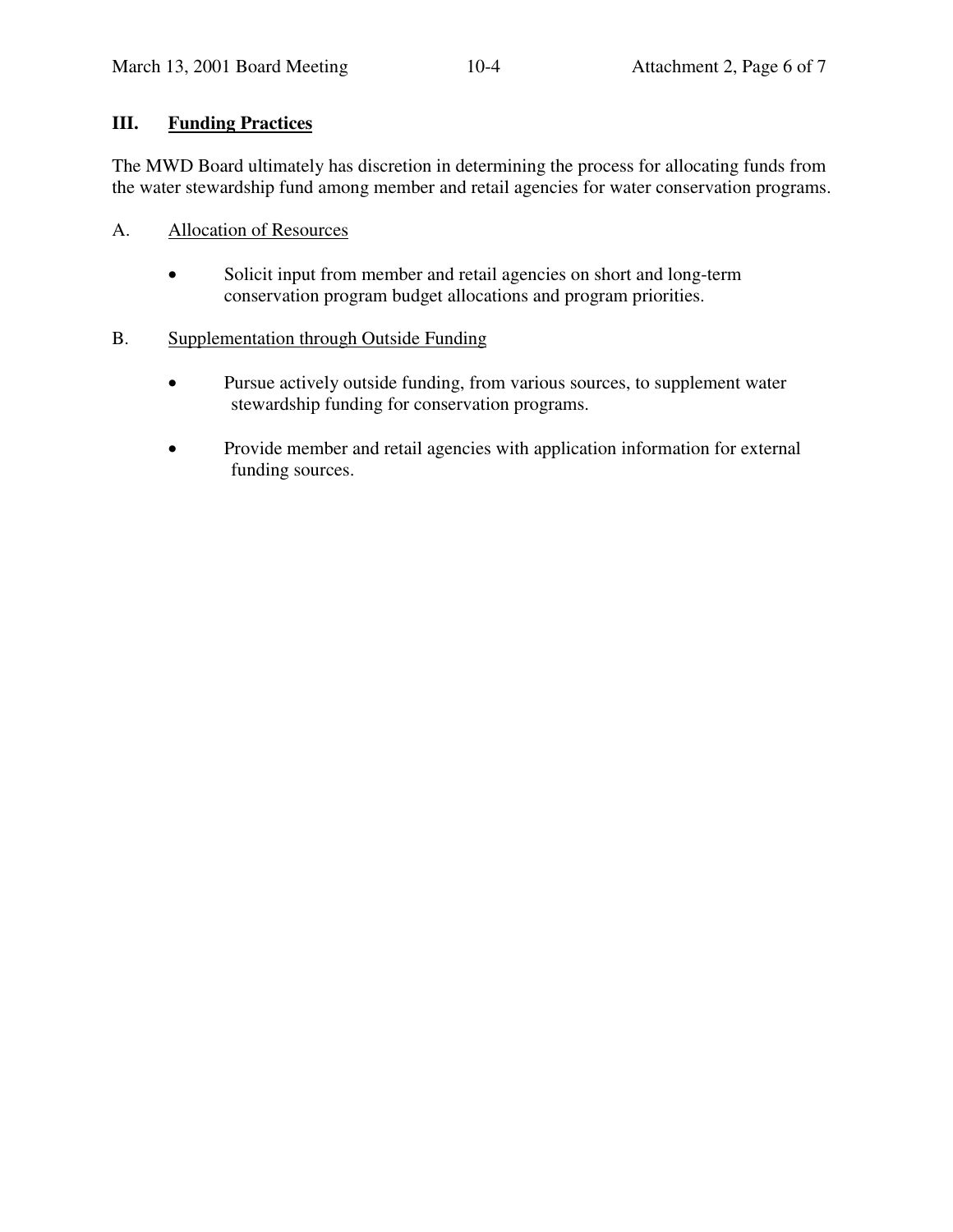# **III. Funding Practices**

The MWD Board ultimately has discretion in determining the process for allocating funds from the water stewardship fund among member and retail agencies for water conservation programs.

- A. Allocation of Resources
	- Solicit input from member and retail agencies on short and long-term conservation program budget allocations and program priorities.
- B. Supplementation through Outside Funding
	- Pursue actively outside funding, from various sources, to supplement water stewardship funding for conservation programs.
	- Provide member and retail agencies with application information for external funding sources.